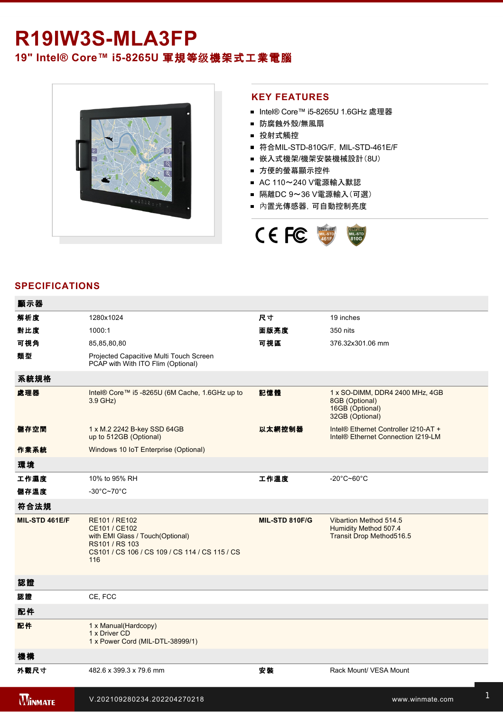## R19IW3S-MLA3FP **19" Intel® Core™ i5-8265U 軍規等级機架式工業電腦**



## **KEY FEATURES**

- Intel® Core™ i5-8265U 1.6GHz 處理器
- 防腐蝕外殼/無風扇
- 投射式觸控
- 符合MIL-STD-810G/F, MIL-STD-461E/F
- 嵌入式機架/機架安裝機械設計(8U)
- 方便的螢幕顯示控件
- AC 110~240 V電源輸入默認
- 隔離DC 9~36 V電源輸入(可選)
- 內置光傳感器,可自動控制亮度



## **SPECIFICATIONS**

| 顯示器            |                                                                                                                                               |                |                                                                                         |
|----------------|-----------------------------------------------------------------------------------------------------------------------------------------------|----------------|-----------------------------------------------------------------------------------------|
| 解析度            | 1280x1024                                                                                                                                     | 尺寸             | 19 inches                                                                               |
| 對比度            | 1000:1                                                                                                                                        | 面版亮度           | 350 nits                                                                                |
| 可視角            | 85,85,80,80                                                                                                                                   | 可視區            | 376.32x301.06 mm                                                                        |
| 類型             | Projected Capacitive Multi Touch Screen<br>PCAP with With ITO Flim (Optional)                                                                 |                |                                                                                         |
| 系統規格           |                                                                                                                                               |                |                                                                                         |
| 處理器            | Intel® Core™ i5 -8265U (6M Cache, 1.6GHz up to<br>3.9 GHz)                                                                                    | 記憶體            | 1 x SO-DIMM, DDR4 2400 MHz, 4GB<br>8GB (Optional)<br>16GB (Optional)<br>32GB (Optional) |
| 儲存空間           | 1 x M.2 2242 B-key SSD 64GB<br>up to 512GB (Optional)                                                                                         | 以太網控制器         | Intel® Ethernet Controller I210-AT +<br>Intel <sup>®</sup> Ethernet Connection I219-LM  |
| 作業系統           | Windows 10 IoT Enterprise (Optional)                                                                                                          |                |                                                                                         |
| 環境             |                                                                                                                                               |                |                                                                                         |
| 工作濕度           | 10% to 95% RH                                                                                                                                 | 工作溫度           | $-20^{\circ}$ C~60 $^{\circ}$ C                                                         |
| 儲存溫度           | $-30^{\circ}$ C~70 $^{\circ}$ C                                                                                                               |                |                                                                                         |
| 符合法規           |                                                                                                                                               |                |                                                                                         |
| MIL-STD 461E/F | RE101 / RE102<br>CE101 / CE102<br>with EMI Glass / Touch(Optional)<br>RS101 / RS 103<br>CS101 / CS 106 / CS 109 / CS 114 / CS 115 / CS<br>116 | MIL-STD 810F/G | Vibartion Method 514.5<br>Humidity Method 507.4<br>Transit Drop Method516.5             |
| 認證             |                                                                                                                                               |                |                                                                                         |
| 認證             | CE, FCC                                                                                                                                       |                |                                                                                         |
| 配件             |                                                                                                                                               |                |                                                                                         |
| 配件             | 1 x Manual(Hardcopy)<br>1 x Driver CD<br>1 x Power Cord (MIL-DTL-38999/1)                                                                     |                |                                                                                         |
| 機構             |                                                                                                                                               |                |                                                                                         |
| 外觀尺寸           | 482.6 x 399.3 x 79.6 mm                                                                                                                       | 安装             | Rack Mount/ VESA Mount                                                                  |
| <b>WINMATE</b> | V.202109280234.202204270218                                                                                                                   |                | www.winmate.com                                                                         |

USB<del>)2 x 2 x 2 complete 2 x 2 complete 2 x 2 complete 2 complete 2 complete 2 complete 2 complete 2 complete 2 co</del>